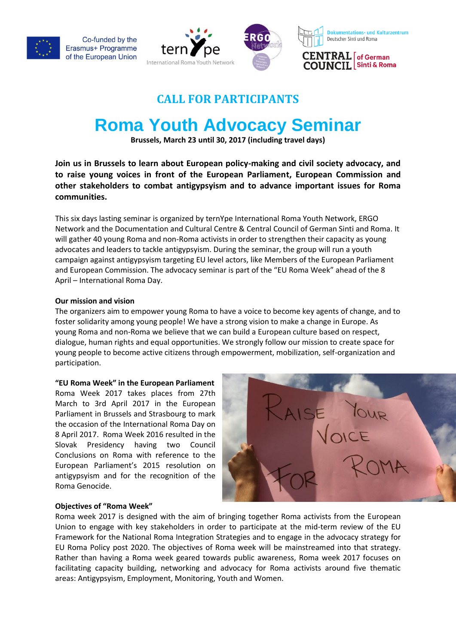

Co-funded by the Erasmus+ Programme of the European Union





**Dokumentations- und Kulturzentrum** Deutscher Sinti und Roma

CENTRAL of German **COUNCIL** Sinti & Roma

#### **CALL FOR PARTICIPANTS**

### **Roma Youth Advocacy Seminar**

**Brussels, March 23 until 30, 2017 (including travel days)**

**Join us in Brussels to learn about European policy-making and civil society advocacy, and to raise young voices in front of the European Parliament, European Commission and other stakeholders to combat antigypsyism and to advance important issues for Roma communities.** 

This six days lasting seminar is organized by ternYpe International Roma Youth Network, ERGO Network and the Documentation and Cultural Centre & Central Council of German Sinti and Roma. It will gather 40 young Roma and non-Roma activists in order to strengthen their capacity as young advocates and leaders to tackle antigypsyism. During the seminar, the group will run a youth campaign against antigypsyism targeting EU level actors, like Members of the European Parliament and European Commission. The advocacy seminar is part of the "EU Roma Week" ahead of the 8 April – International Roma Day.

#### **Our mission and vision**

The organizers aim to empower young Roma to have a voice to become key agents of change, and to foster solidarity among young people! We have a strong vision to make a change in Europe. As young Roma and non-Roma we believe that we can build a European culture based on respect, dialogue, human rights and equal opportunities. We strongly follow our mission to create space for young people to become active citizens through empowerment, mobilization, self-organization and participation.

#### **"EU Roma Week" in the European Parliament**

Roma Week 2017 takes places from 27th March to 3rd April 2017 in the European Parliament in Brussels and Strasbourg to mark the occasion of the International Roma Day on 8 April 2017.Roma Week 2016 resulted in the Slovak Presidency having two Council Conclusions on Roma with reference to the European Parliament's 2015 resolution on antigypsyism and for the recognition of the Roma Genocide.



#### **Objectives of "Roma Week"**

Roma week 2017 is designed with the aim of bringing together Roma activists from the European Union to engage with key stakeholders in order to participate at the mid-term review of the EU Framework for the National Roma Integration Strategies and to engage in the advocacy strategy for EU Roma Policy post 2020. The objectives of Roma week will be mainstreamed into that strategy. Rather than having a Roma week geared towards public awareness, Roma week 2017 focuses on facilitating capacity building, networking and advocacy for Roma activists around five thematic areas: Antigypsyism, Employment, Monitoring, Youth and Women.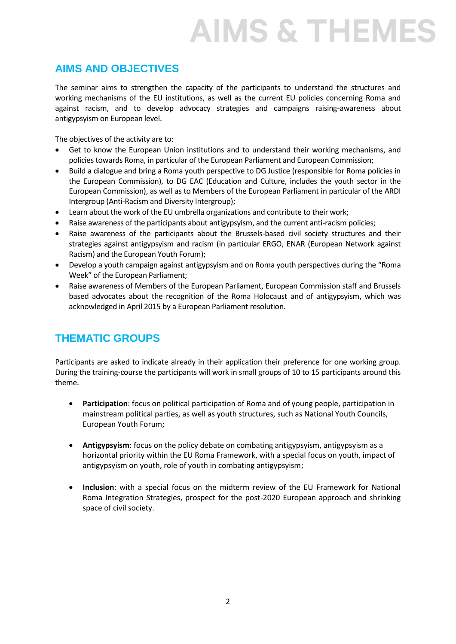### **AIMS & THEMES**

#### **AIMS AND OBJECTIVES**

The seminar aims to strengthen the capacity of the participants to understand the structures and working mechanisms of the EU institutions, as well as the current EU policies concerning Roma and against racism, and to develop advocacy strategies and campaigns raising-awareness about antigypsyism on European level.

The objectives of the activity are to:

- Get to know the European Union institutions and to understand their working mechanisms, and policies towards Roma, in particular of the European Parliament and European Commission;
- Build a dialogue and bring a Roma youth perspective to DG Justice (responsible for Roma policies in the European Commission), to DG EAC (Education and Culture, includes the youth sector in the European Commission), as well as to Members of the European Parliament in particular of the ARDI Intergroup (Anti-Racism and Diversity Intergroup);
- Learn about the work of the EU umbrella organizations and contribute to their work;
- Raise awareness of the participants about antigypsyism, and the current anti-racism policies;
- Raise awareness of the participants about the Brussels-based civil society structures and their strategies against antigypsyism and racism (in particular ERGO, ENAR (European Network against Racism) and the European Youth Forum);
- Develop a youth campaign against antigypsyism and on Roma youth perspectives during the "Roma Week" of the European Parliament;
- Raise awareness of Members of the European Parliament, European Commission staff and Brussels based advocates about the recognition of the Roma Holocaust and of antigypsyism, which was acknowledged in April 2015 by a European Parliament resolution.

#### **THEMATIC GROUPS**

Participants are asked to indicate already in their application their preference for one working group. During the training-course the participants will work in small groups of 10 to 15 participants around this theme.

- **Participation**: focus on political participation of Roma and of young people, participation in mainstream political parties, as well as youth structures, such as National Youth Councils, European Youth Forum;
- **Antigypsyism**: focus on the policy debate on combating antigypsyism, antigypsyism as a horizontal priority within the EU Roma Framework, with a special focus on youth, impact of antigypsyism on youth, role of youth in combating antigypsyism;
- **Inclusion**: with a special focus on the midterm review of the EU Framework for National Roma Integration Strategies, prospect for the post-2020 European approach and shrinking space of civil society.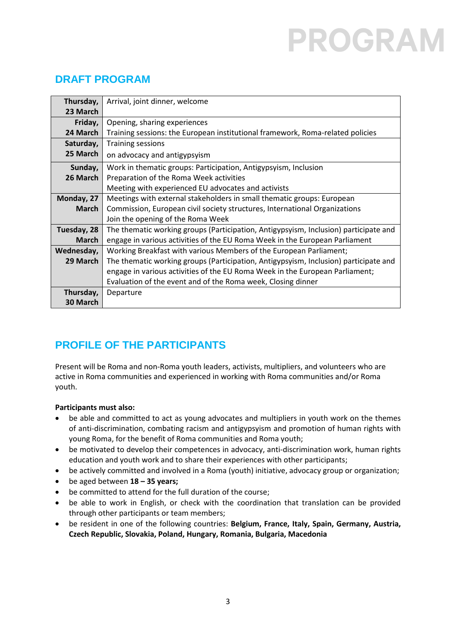## PROGRAI

#### **DRAFT PROGRAM**

| Thursday,    | Arrival, joint dinner, welcome                                                       |
|--------------|--------------------------------------------------------------------------------------|
| 23 March     |                                                                                      |
| Friday,      | Opening, sharing experiences                                                         |
| 24 March     | Training sessions: the European institutional framework, Roma-related policies       |
| Saturday,    | <b>Training sessions</b>                                                             |
| 25 March     | on advocacy and antigypsyism                                                         |
| Sunday,      | Work in thematic groups: Participation, Antigypsyism, Inclusion                      |
| 26 March     | Preparation of the Roma Week activities                                              |
|              | Meeting with experienced EU advocates and activists                                  |
| Monday, 27   | Meetings with external stakeholders in small thematic groups: European               |
| <b>March</b> | Commission, European civil society structures, International Organizations           |
|              | Join the opening of the Roma Week                                                    |
| Tuesday, 28  | The thematic working groups (Participation, Antigypsyism, Inclusion) participate and |
| <b>March</b> | engage in various activities of the EU Roma Week in the European Parliament          |
| Wednesday,   | Working Breakfast with various Members of the European Parliament;                   |
| 29 March     | The thematic working groups (Participation, Antigypsyism, Inclusion) participate and |
|              | engage in various activities of the EU Roma Week in the European Parliament;         |
|              | Evaluation of the event and of the Roma week, Closing dinner                         |
| Thursday,    | Departure                                                                            |
| 30 March     |                                                                                      |

### **PROFILE OF THE PARTICIPANTS**

Present will be Roma and non-Roma youth leaders, activists, multipliers, and volunteers who are active in Roma communities and experienced in working with Roma communities and/or Roma youth.

#### **Participants must also:**

- be able and committed to act as young advocates and multipliers in youth work on the themes of anti-discrimination, combating racism and antigypsyism and promotion of human rights with young Roma, for the benefit of Roma communities and Roma youth;
- be motivated to develop their competences in advocacy, anti-discrimination work, human rights education and youth work and to share their experiences with other participants;
- be actively committed and involved in a Roma (youth) initiative, advocacy group or organization;
- be aged between **18 – 35 years;**
- be committed to attend for the full duration of the course;
- be able to work in English, or check with the coordination that translation can be provided through other participants or team members;
- be resident in one of the following countries: **Belgium, France, Italy, Spain, Germany, Austria, Czech Republic, Slovakia, Poland, Hungary, Romania, Bulgaria, Macedonia**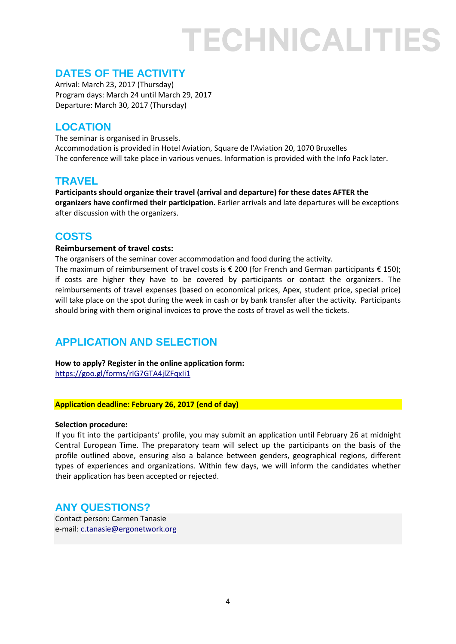### TECHNICALITIES

#### **DATES OF THE ACTIVITY**

Arrival: March 23, 2017 (Thursday) Program days: March 24 until March 29, 2017 Departure: March 30, 2017 (Thursday)

#### **LOCATION**

The seminar is organised in Brussels. Accommodation is provided in Hotel Aviation, Square de l'Aviation 20, 1070 Bruxelles The conference will take place in various venues. Information is provided with the Info Pack later.

#### **TRAVEL**

**Participants should organize their travel (arrival and departure) for these dates AFTER the organizers have confirmed their participation.** Earlier arrivals and late departures will be exceptions after discussion with the organizers.

#### **COSTS**

#### **Reimbursement of travel costs:**

The organisers of the seminar cover accommodation and food during the activity. The maximum of reimbursement of travel costs is  $\epsilon$  200 (for French and German participants  $\epsilon$  150); if costs are higher they have to be covered by participants or contact the organizers. The reimbursements of travel expenses (based on economical prices, Apex, student price, special price) will take place on the spot during the week in cash or by bank transfer after the activity. Participants should bring with them original invoices to prove the costs of travel as well the tickets.

#### **APPLICATION AND SELECTION**

**How to apply? Register in the online application form:** <https://goo.gl/forms/rIG7GTA4jlZFqxIi1>

#### **Application deadline: February 26, 2017 (end of day)**

#### **Selection procedure:**

If you fit into the participants' profile, you may submit an application until February 26 at midnight Central European Time. The preparatory team will select up the participants on the basis of the profile outlined above, ensuring also a balance between genders, geographical regions, different types of experiences and organizations. Within few days, we will inform the candidates whether their application has been accepted or rejected.

#### **ANY QUESTIONS?**

Contact person: Carmen Tanasie e-mail: [c.tanasie@ergonetwork.org](mailto:c.tanasie@ergonetwork.org)